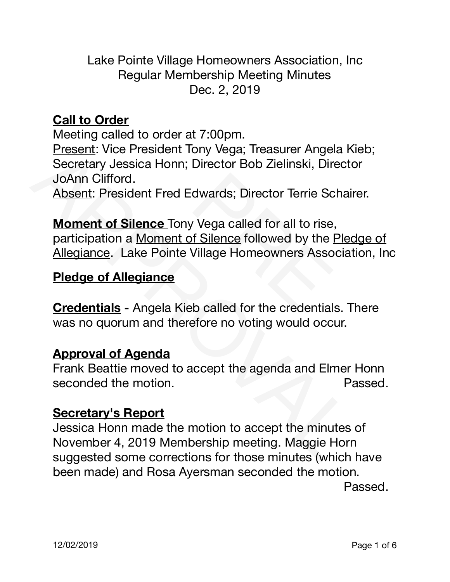Lake Pointe Village Homeowners Association, Inc Regular Membership Meeting Minutes Dec. 2, 2019

# **Call to Order**

**State of the Contract Toology**<br>
I: Vice President Tony Vega; Treasurer Ange<br>
I: Vice President Tony Vega; Treasurer Ange<br>
Inclifford.<br>
President Fred Edwards; Director Terrie Scontroller<br> **Intial of Silence** Tony Vega cal Meeting called to order at 7:00pm. Present: Vice President Tony Vega; Treasurer Angela Kieb; Secretary Jessica Honn; Director Bob Zielinski, Director JoAnn Clifford.

Absent: President Fred Edwards; Director Terrie Schairer.

Present: Vice President Iony vega; Ireasurer Angela Nice-<br>Secretary Jessica Honn; Director Bob Zielinski, Directo<br>JoAnn Clifford.<br>Absent: President Fred Edwards; Director Terrie Schaire<br>Moment of Silence Tony Vega called f **Moment of Silence** Tony Vega called for all to rise, participation a Moment of Silence followed by the Pledge of Allegiance. Lake Pointe Village Homeowners Association, Inc

# **Pledge of Allegiance**

**Credentials -** Angela Kieb called for the credentials. There was no quorum and therefore no voting would occur.

### **Approval of Agenda**

Frank Beattie moved to accept the agenda and Elmer Honn seconded the motion. The seconded the motion.

### **Secretary's Report**

Jessica Honn made the motion to accept the minutes of November 4, 2019 Membership meeting. Maggie Horn suggested some corrections for those minutes (which have been made) and Rosa Ayersman seconded the motion. 

**Passed.**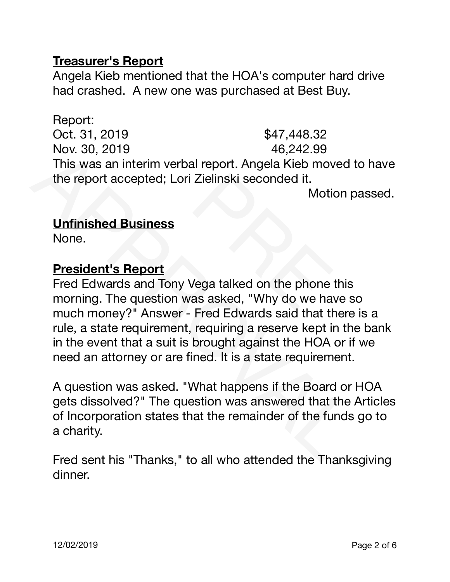### **Treasurer's Report**

Angela Kieb mentioned that the HOA's computer hard drive had crashed. A new one was purchased at Best Buy.

\$47,448.32<br>
9, 2019<br>
9, 2019<br>
9, 2019<br>
9, 2019<br>
9, 242.99<br>
9, 242.99<br>
6, 242.99<br>
6, 242.99<br>
2011<br>
2011<br>
Motion Muslims and Tony Vega talked on the phone<br>
9. The question was asked, "Why do we handley?" Answer - Fred Edward Report: Oct. 31, 2019 **\$47,448.32** Nov. 30, 2019 **1999** 10:00 10:00 10:00 10:00 10:00 10:00 10:00 10:00 10:00 10:00 10:00 10:00 10:00 10:00 10:00 10:00 10:00 10:00 10:00 10:00 10:00 10:00 10:00 10:00 10:00 10:00 10:00 10:00 10:00 10:00 10:00 10:00 10:00 10: This was an interim verbal report. Angela Kieb moved to have the report accepted; Lori Zielinski seconded it.

 Motion passed.

#### **Unfinished Business**

None.

#### **President's Report**

Nov. 30, 2019<br>
This was an interim verbal report. Angela Kieb moved to<br>
the report accepted; Lori Zielinski seconded it.<br>
Motion p:<br> **Unfinished Business**<br>
None.<br> **President's Report**<br>
Fred Edwards and Tony Vega talked on Fred Edwards and Tony Vega talked on the phone this morning. The question was asked, "Why do we have so much money?" Answer - Fred Edwards said that there is a rule, a state requirement, requiring a reserve kept in the bank in the event that a suit is brought against the HOA or if we need an attorney or are fined. It is a state requirement.

A question was asked. "What happens if the Board or HOA gets dissolved?" The question was answered that the Articles of Incorporation states that the remainder of the funds go to a charity.

Fred sent his "Thanks," to all who attended the Thanksgiving dinner.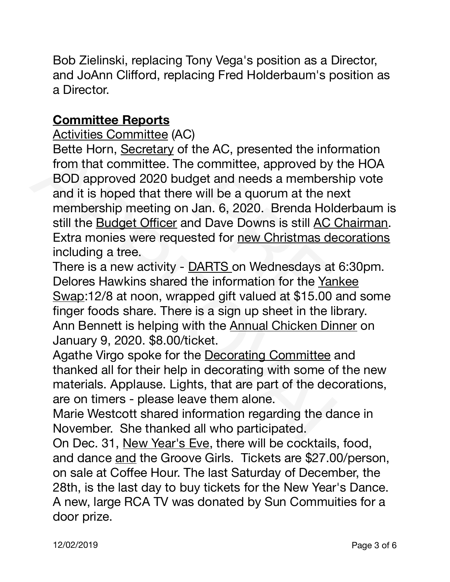Bob Zielinski, replacing Tony Vega's position as a Director, and JoAnn Clifford, replacing Fred Holderbaum's position as a Director.

# **Committee Reports**

Activities Committee (AC) 

**Example 12**<br>
So Committee (AC)<br>
So Committee. The committee, approved by<br>
pproved 2020 budget and needs a members<br>
s hoped that there will be a quorum at the n<br>
s hoped that there will be a quorum at the n<br>
right provide Bette Horn, Secretary of the AC, presented the information that committee. The committee, approved by the BOD approved 2020 budget and needs a membership and it is hoped that there will be a quorum at the next membership m Bette Horn, Secretary of the AC, presented the information from that committee. The committee, approved by the HOA BOD approved 2020 budget and needs a membership vote and it is hoped that there will be a quorum at the next membership meeting on Jan. 6, 2020. Brenda Holderbaum is still the Budget Officer and Dave Downs is still AC Chairman. Extra monies were requested for new Christmas decorations including a tree.

There is a new activity - DARTS on Wednesdays at 6:30pm. Delores Hawkins shared the information for the Yankee Swap:12/8 at noon, wrapped gift valued at \$15.00 and some finger foods share. There is a sign up sheet in the library. Ann Bennett is helping with the Annual Chicken Dinner on January 9, 2020. \$8.00/ticket.

Agathe Virgo spoke for the Decorating Committee and thanked all for their help in decorating with some of the new materials. Applause. Lights, that are part of the decorations, are on timers - please leave them alone.

Marie Westcott shared information regarding the dance in November. She thanked all who participated.

On Dec. 31, New Year's Eve, there will be cocktails, food, and dance and the Groove Girls. Tickets are \$27.00/person, on sale at Coffee Hour. The last Saturday of December, the 28th, is the last day to buy tickets for the New Year's Dance. A new, large RCA TV was donated by Sun Commuities for a door prize.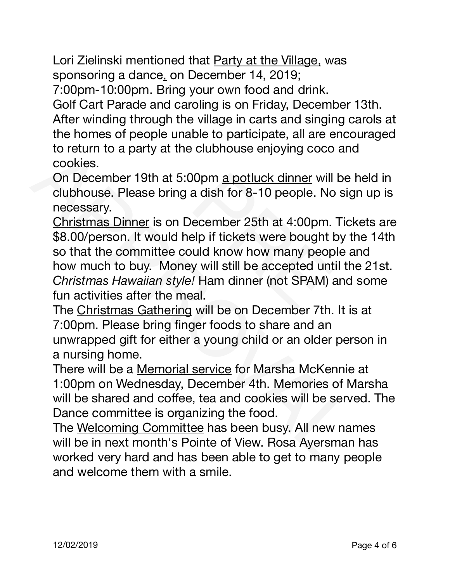Lori Zielinski mentioned that Party at the Village, was sponsoring a dance, on December 14, 2019;

7:00pm-10:00pm. Bring your own food and drink.

Golf Cart Parade and caroling is on Friday, December 13th. After winding through the village in carts and singing carols at

the homes of people unable to participate, all are encouraged to return to a party at the clubhouse enjoying coco and cookies.

On December 19th at 5:00pm a potluck dinner will be held in clubhouse. Please bring a dish for 8-10 people. No sign up is necessary.

manig though the vilage in carts and single<br>nes of people unable to participate, all are e<br>n to a party at the clubhouse enjoying coco<br>s.<br>ember 19th at 5:00pm <u>a potluck dinner</u> will<br>use. Please bring a dish for 8-10 peopl to return to a party at the clubriouse enjoying coco and<br>cookies.<br>On December 19th at 5:00pm a potluck dinner will be h<br>clubhouse. Please bring a dish for 8-10 people. No sign<br>necessary.<br>Christmas Dinner is on December 25t Christmas Dinner is on December 25th at 4:00pm. Tickets are \$8.00/person. It would help if tickets were bought by the 14th so that the committee could know how many people and how much to buy. Money will still be accepted until the 21st. *Christmas Hawaiian style!* Ham dinner (not SPAM) and some fun activities after the meal.

The Christmas Gathering will be on December 7th. It is at 7:00pm. Please bring finger foods to share and an unwrapped gift for either a young child or an older person in a nursing home.

There will be a Memorial service for Marsha McKennie at 1:00pm on Wednesday, December 4th. Memories of Marsha will be shared and coffee, tea and cookies will be served. The Dance committee is organizing the food.

The Welcoming Committee has been busy. All new names will be in next month's Pointe of View. Rosa Ayersman has worked very hard and has been able to get to many people and welcome them with a smile.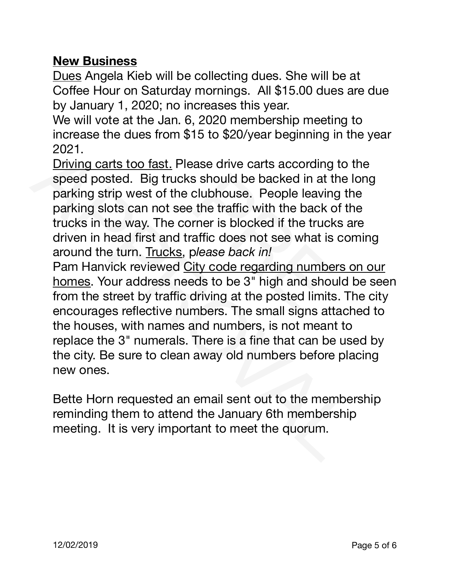### **New Business**

Dues Angela Kieb will be collecting dues. She will be at Coffee Hour on Saturday mornings. All \$15.00 dues are due by January 1, 2020; no increases this year.

We will vote at the Jan. 6, 2020 membership meeting to increase the dues from \$15 to \$20/year beginning in the year 2021.

vote at the Jan. 0, 2020 membership meet<br>e the dues from \$15 to \$20/year beginning<br>carts too fast. Please drive carts according<br>posted. Big trucks should be backed in at t<br>strip west of the clubhouse. People leavin<br>slots c Driving carts too fast. Please drive carts according to the speed posted. Big trucks should be backed in at the long parking strip west of the clubhouse. People leaving the parking slots can not see the traffic with the back of the trucks in the way. The corner is blocked if the trucks are driven in head first and traffic does not see what is coming around the turn. Trucks, p*lease back in!* 

2021. Driving carts too fast. Please drive carts according to the speed posted. Big trucks should be backed in at the lo parking strip west of the clubhouse. People leaving the parking slots can not see the traffic with t Pam Hanvick reviewed City code regarding numbers on our homes. Your address needs to be 3" high and should be seen from the street by traffic driving at the posted limits. The city encourages reflective numbers. The small signs attached to the houses, with names and numbers, is not meant to replace the 3" numerals. There is a fine that can be used by the city. Be sure to clean away old numbers before placing new ones.

Bette Horn requested an email sent out to the membership reminding them to attend the January 6th membership meeting. It is very important to meet the quorum.